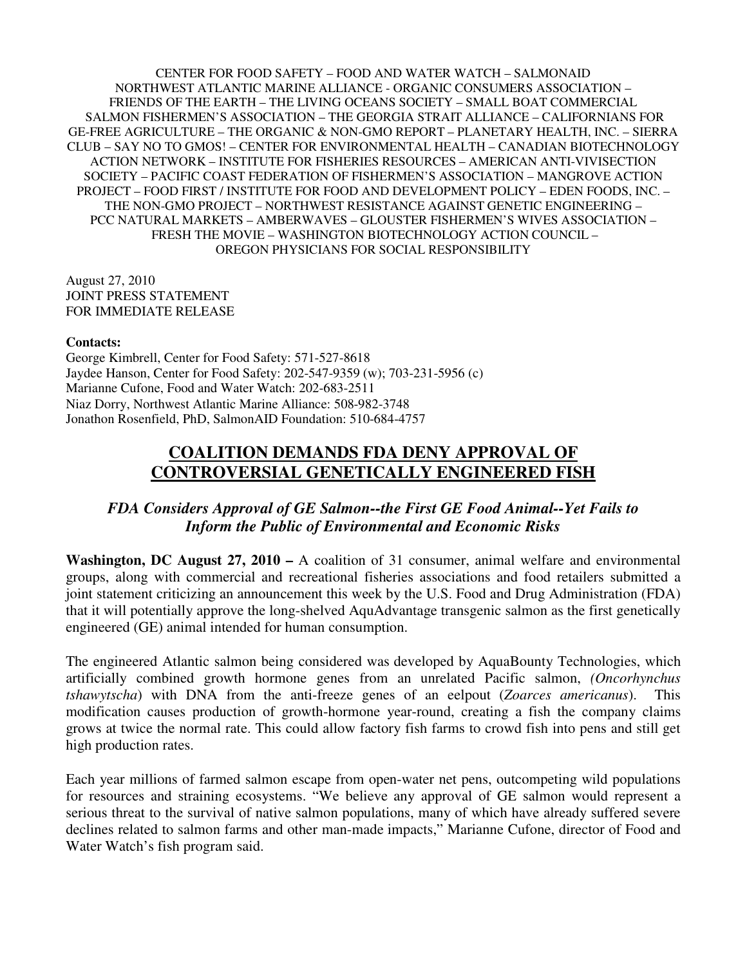CENTER FOR FOOD SAFETY – FOOD AND WATER WATCH – SALMONAID NORTHWEST ATLANTIC MARINE ALLIANCE - ORGANIC CONSUMERS ASSOCIATION – FRIENDS OF THE EARTH – THE LIVING OCEANS SOCIETY – SMALL BOAT COMMERCIAL SALMON FISHERMEN'S ASSOCIATION – THE GEORGIA STRAIT ALLIANCE – CALIFORNIANS FOR GE-FREE AGRICULTURE – THE ORGANIC & NON-GMO REPORT – PLANETARY HEALTH, INC. – SIERRA CLUB – SAY NO TO GMOS! – CENTER FOR ENVIRONMENTAL HEALTH – CANADIAN BIOTECHNOLOGY ACTION NETWORK – INSTITUTE FOR FISHERIES RESOURCES – AMERICAN ANTI-VIVISECTION SOCIETY – PACIFIC COAST FEDERATION OF FISHERMEN'S ASSOCIATION – MANGROVE ACTION PROJECT – FOOD FIRST / INSTITUTE FOR FOOD AND DEVELOPMENT POLICY – EDEN FOODS, INC. – THE NON-GMO PROJECT – NORTHWEST RESISTANCE AGAINST GENETIC ENGINEERING – PCC NATURAL MARKETS – AMBERWAVES – GLOUSTER FISHERMEN'S WIVES ASSOCIATION – FRESH THE MOVIE – WASHINGTON BIOTECHNOLOGY ACTION COUNCIL – OREGON PHYSICIANS FOR SOCIAL RESPONSIBILITY

August 27, 2010 JOINT PRESS STATEMENT FOR IMMEDIATE RELEASE

## **Contacts:**

George Kimbrell, Center for Food Safety: 571-527-8618 Jaydee Hanson, Center for Food Safety: 202-547-9359 (w); 703-231-5956 (c) Marianne Cufone, Food and Water Watch: 202-683-2511 Niaz Dorry, Northwest Atlantic Marine Alliance: 508-982-3748 Jonathon Rosenfield, PhD, SalmonAID Foundation: 510-684-4757

## **COALITION DEMANDS FDA DENY APPROVAL OF CONTROVERSIAL GENETICALLY ENGINEERED FISH**

## *FDA Considers Approval of GE Salmon--the First GE Food Animal--Yet Fails to Inform the Public of Environmental and Economic Risks*

**Washington, DC August 27, 2010 –** A coalition of 31 consumer, animal welfare and environmental groups, along with commercial and recreational fisheries associations and food retailers submitted a joint statement criticizing an announcement this week by the U.S. Food and Drug Administration (FDA) that it will potentially approve the long-shelved AquAdvantage transgenic salmon as the first genetically engineered (GE) animal intended for human consumption.

The engineered Atlantic salmon being considered was developed by AquaBounty Technologies, which artificially combined growth hormone genes from an unrelated Pacific salmon, *(Oncorhynchus tshawytscha*) with DNA from the anti-freeze genes of an eelpout (*Zoarces americanus*). This modification causes production of growth-hormone year-round, creating a fish the company claims grows at twice the normal rate. This could allow factory fish farms to crowd fish into pens and still get high production rates.

Each year millions of farmed salmon escape from open-water net pens, outcompeting wild populations for resources and straining ecosystems. "We believe any approval of GE salmon would represent a serious threat to the survival of native salmon populations, many of which have already suffered severe declines related to salmon farms and other man-made impacts," Marianne Cufone, director of Food and Water Watch's fish program said.